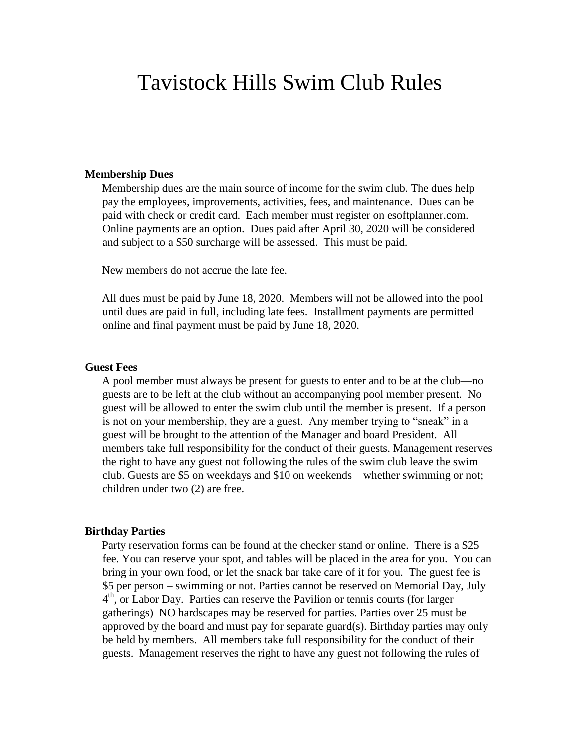# Tavistock Hills Swim Club Rules

#### **Membership Dues**

Membership dues are the main source of income for the swim club. The dues help pay the employees, improvements, activities, fees, and maintenance. Dues can be paid with check or credit card. Each member must register on esoftplanner.com. Online payments are an option. Dues paid after April 30, 2020 will be considered and subject to a \$50 surcharge will be assessed. This must be paid.

New members do not accrue the late fee.

All dues must be paid by June 18, 2020. Members will not be allowed into the pool until dues are paid in full, including late fees. Installment payments are permitted online and final payment must be paid by June 18, 2020.

#### **Guest Fees**

A pool member must always be present for guests to enter and to be at the club—no guests are to be left at the club without an accompanying pool member present. No guest will be allowed to enter the swim club until the member is present. If a person is not on your membership, they are a guest. Any member trying to "sneak" in a guest will be brought to the attention of the Manager and board President. All members take full responsibility for the conduct of their guests. Management reserves the right to have any guest not following the rules of the swim club leave the swim club. Guests are \$5 on weekdays and \$10 on weekends – whether swimming or not; children under two (2) are free.

#### **Birthday Parties**

Party reservation forms can be found at the checker stand or online. There is a \$25 fee. You can reserve your spot, and tables will be placed in the area for you. You can bring in your own food, or let the snack bar take care of it for you. The guest fee is \$5 per person – swimming or not. Parties cannot be reserved on Memorial Day, July 4<sup>th</sup>, or Labor Day. Parties can reserve the Pavilion or tennis courts (for larger gatherings) NO hardscapes may be reserved for parties. Parties over 25 must be approved by the board and must pay for separate guard(s). Birthday parties may only be held by members. All members take full responsibility for the conduct of their guests. Management reserves the right to have any guest not following the rules of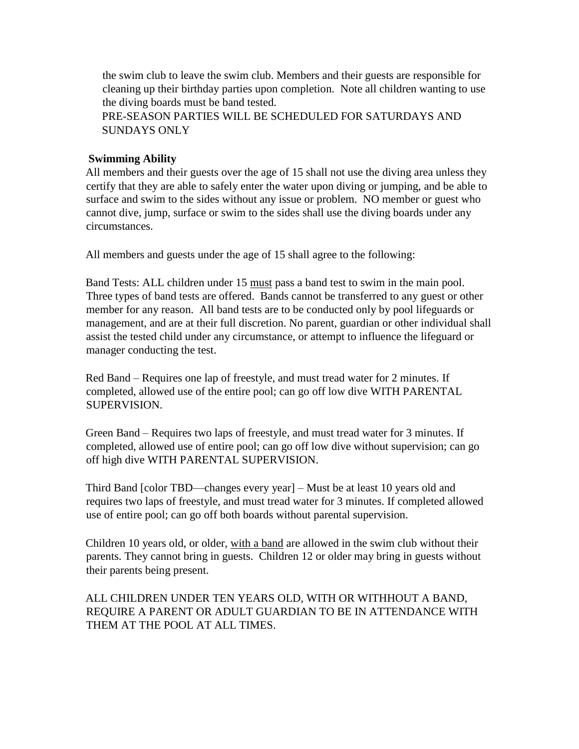the swim club to leave the swim club. Members and their guests are responsible for cleaning up their birthday parties upon completion. Note all children wanting to use the diving boards must be band tested.

PRE-SEASON PARTIES WILL BE SCHEDULED FOR SATURDAYS AND SUNDAYS ONLY

### **Swimming Ability**

All members and their guests over the age of 15 shall not use the diving area unless they certify that they are able to safely enter the water upon diving or jumping, and be able to surface and swim to the sides without any issue or problem. NO member or guest who cannot dive, jump, surface or swim to the sides shall use the diving boards under any circumstances.

All members and guests under the age of 15 shall agree to the following:

Band Tests: ALL children under 15 must pass a band test to swim in the main pool. Three types of band tests are offered. Bands cannot be transferred to any guest or other member for any reason. All band tests are to be conducted only by pool lifeguards or management, and are at their full discretion. No parent, guardian or other individual shall assist the tested child under any circumstance, or attempt to influence the lifeguard or manager conducting the test.

Red Band – Requires one lap of freestyle, and must tread water for 2 minutes. If completed, allowed use of the entire pool; can go off low dive WITH PARENTAL SUPERVISION.

Green Band – Requires two laps of freestyle, and must tread water for 3 minutes. If completed, allowed use of entire pool; can go off low dive without supervision; can go off high dive WITH PARENTAL SUPERVISION.

Third Band [color TBD—changes every year] – Must be at least 10 years old and requires two laps of freestyle, and must tread water for 3 minutes. If completed allowed use of entire pool; can go off both boards without parental supervision.

Children 10 years old, or older, with a band are allowed in the swim club without their parents. They cannot bring in guests. Children 12 or older may bring in guests without their parents being present.

ALL CHILDREN UNDER TEN YEARS OLD, WITH OR WITHHOUT A BAND, REQUIRE A PARENT OR ADULT GUARDIAN TO BE IN ATTENDANCE WITH THEM AT THE POOL AT ALL TIMES.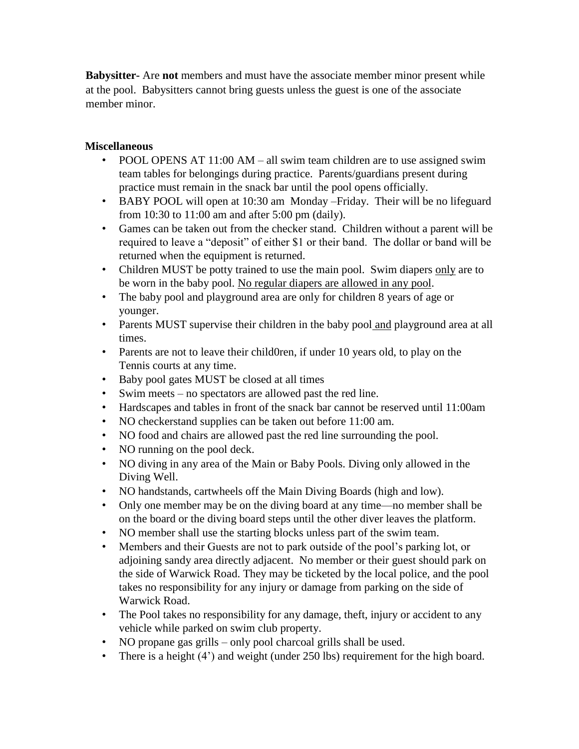**Babysitter-** Are **not** members and must have the associate member minor present while at the pool. Babysitters cannot bring guests unless the guest is one of the associate member minor.

## **Miscellaneous**

- POOL OPENS AT 11:00 AM all swim team children are to use assigned swim team tables for belongings during practice. Parents/guardians present during practice must remain in the snack bar until the pool opens officially.
- BABY POOL will open at 10:30 am Monday Friday. Their will be no lifeguard from 10:30 to 11:00 am and after 5:00 pm (daily).
- Games can be taken out from the checker stand. Children without a parent will be required to leave a "deposit" of either \$1 or their band. The dollar or band will be returned when the equipment is returned.
- Children MUST be potty trained to use the main pool. Swim diapers only are to be worn in the baby pool. No regular diapers are allowed in any pool.
- The baby pool and playground area are only for children 8 years of age or younger.
- Parents MUST supervise their children in the baby pool and playground area at all times.
- Parents are not to leave their child0ren, if under 10 years old, to play on the Tennis courts at any time.
- Baby pool gates MUST be closed at all times
- Swim meets no spectators are allowed past the red line.
- Hardscapes and tables in front of the snack bar cannot be reserved until 11:00am
- NO checkerstand supplies can be taken out before 11:00 am.
- NO food and chairs are allowed past the red line surrounding the pool.
- NO running on the pool deck.
- NO diving in any area of the Main or Baby Pools. Diving only allowed in the Diving Well.
- NO handstands, cartwheels off the Main Diving Boards (high and low).
- Only one member may be on the diving board at any time—no member shall be on the board or the diving board steps until the other diver leaves the platform.
- NO member shall use the starting blocks unless part of the swim team.
- Members and their Guests are not to park outside of the pool's parking lot, or adjoining sandy area directly adjacent. No member or their guest should park on the side of Warwick Road. They may be ticketed by the local police, and the pool takes no responsibility for any injury or damage from parking on the side of Warwick Road.
- The Pool takes no responsibility for any damage, theft, injury or accident to any vehicle while parked on swim club property.
- NO propane gas grills only pool charcoal grills shall be used.
- There is a height (4') and weight (under 250 lbs) requirement for the high board.